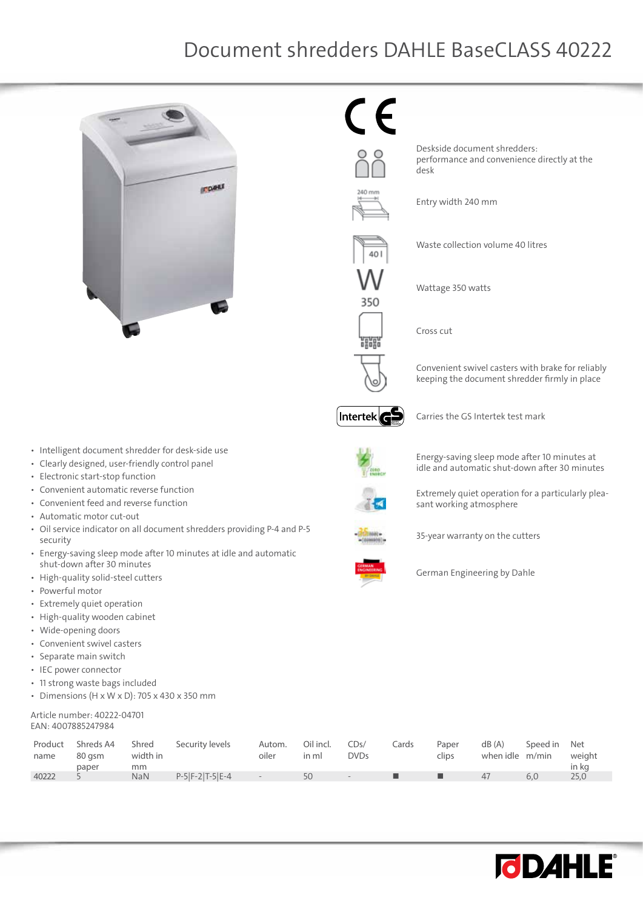## Document shredders DAHLE BaseCLASS 40222



35C 罷

 $\epsilon$ 

Deskside document shredders: performance and convenience directly at the desk

Entry width 240 mm

Waste collection volume 40 litres

Wattage 350 watts

Cross cut

Convenient swivel casters with brake for reliably keeping the document shredder firmly in place



Carries the GS Intertek test mark



Energy-saving sleep mode after 10 minutes at

idle and automatic shut-down after 30 minutes

Extremely quiet operation for a particularly plea-



- • Clearly designed, user-friendly control panel
- • Electronic start-stop function
- • Convenient automatic reverse function
- Convenient feed and reverse function
- • Automatic motor cut-out
- • Oil service indicator on all document shredders providing P-4 and P-5 security
- • Energy-saving sleep mode after 10 minutes at idle and automatic shut-down after 30 minutes
- • High-quality solid-steel cutters
- • Powerful motor
- • Extremely quiet operation
- • High-quality wooden cabinet
- • Wide-opening doors
- • Convenient swivel casters
- • Separate main switch
- • IEC power connector
- • 11 strong waste bags included
- Dimensions (H x W x D): 705 x 430 x 350 mm

## Article number: 40222-04701 EAN: 4007885247984

| Product<br>name | Shreds A4<br>80 asm<br>paper | Shred<br>width in<br>mm | Security levels   | Autom.<br>oiler | Oil incl.<br>in ml | CDs/<br><b>DVDs</b> | Cards | Paper<br>clips | dB(A)<br>when idle m/min | Speed in | Net<br>weight<br>in kg |
|-----------------|------------------------------|-------------------------|-------------------|-----------------|--------------------|---------------------|-------|----------------|--------------------------|----------|------------------------|
| 40222           |                              | NaN                     | $P-5 F-2 T-5 E-4$ |                 | 50                 | $\sim$              |       |                | 47                       | 6.0      | 25,0                   |





German Engineering by Dahle

35-year warranty on the cutters

sant working atmosphere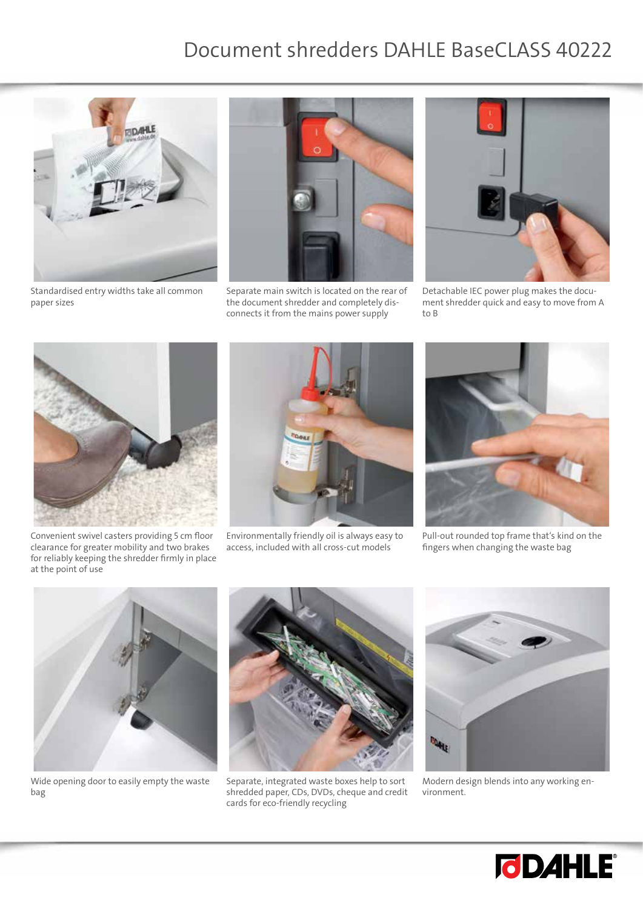## Document shredders DAHLE BaseCLASS 40222



Standardised entry widths take all common paper sizes



Separate main switch is located on the rear of the document shredder and completely disconnects it from the mains power supply



Detachable IEC power plug makes the document shredder quick and easy to move from A to B



Convenient swivel casters providing 5 cm floor clearance for greater mobility and two brakes for reliably keeping the shredder firmly in place at the point of use



Environmentally friendly oil is always easy to access, included with all cross-cut models



Pull-out rounded top frame that's kind on the fingers when changing the waste bag



Wide opening door to easily empty the waste bag



Separate, integrated waste boxes help to sort shredded paper, CDs, DVDs, cheque and credit cards for eco-friendly recycling



Modern design blends into any working environment.